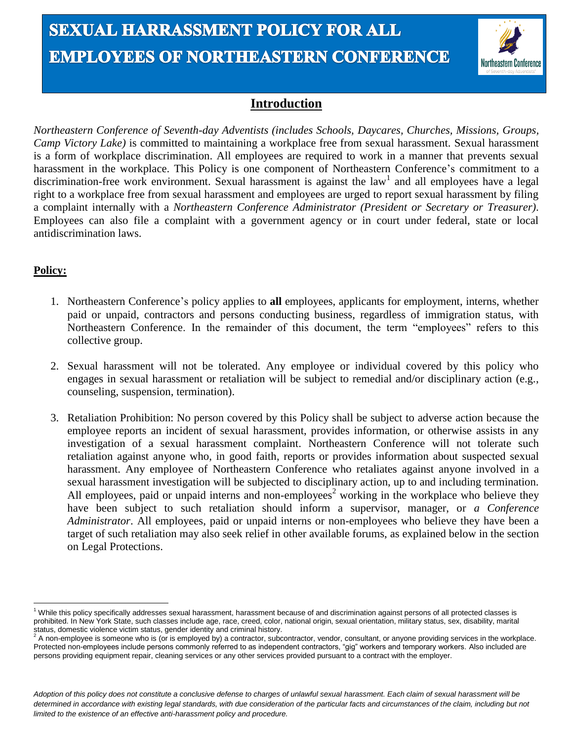# **SEXUAL HARRASSMENT POLICY FOR ALL EMPLOYEES OF NORTHEASTERN CONFERENCE**



# **Introduction**

*Northeastern Conference of Seventh-day Adventists (includes Schools, Daycares, Churches, Missions, Groups, Camp Victory Lake)* is committed to maintaining a workplace free from sexual harassment. Sexual harassment is a form of workplace discrimination. All employees are required to work in a manner that prevents sexual harassment in the workplace. This Policy is one component of Northeastern Conference's commitment to a discrimination-free work environment. Sexual harassment is against the law<sup>1</sup> and all employees have a legal right to a workplace free from sexual harassment and employees are urged to report sexual harassment by filing a complaint internally with a *Northeastern Conference Administrator (President or Secretary or Treasurer)*. Employees can also file a complaint with a government agency or in court under federal, state or local antidiscrimination laws.

## **Policy:**

 $\overline{a}$ 

- 1. Northeastern Conference's policy applies to **all** employees, applicants for employment, interns, whether paid or unpaid, contractors and persons conducting business, regardless of immigration status, with Northeastern Conference. In the remainder of this document, the term "employees" refers to this collective group.
- 2. Sexual harassment will not be tolerated. Any employee or individual covered by this policy who engages in sexual harassment or retaliation will be subject to remedial and/or disciplinary action (e.g., counseling, suspension, termination).
- 3. Retaliation Prohibition: No person covered by this Policy shall be subject to adverse action because the employee reports an incident of sexual harassment, provides information, or otherwise assists in any investigation of a sexual harassment complaint. Northeastern Conference will not tolerate such retaliation against anyone who, in good faith, reports or provides information about suspected sexual harassment. Any employee of Northeastern Conference who retaliates against anyone involved in a sexual harassment investigation will be subjected to disciplinary action, up to and including termination. All employees, paid or unpaid interns and non-employees<sup>2</sup> working in the workplace who believe they have been subject to such retaliation should inform a supervisor, manager, or *a Conference Administrator*. All employees, paid or unpaid interns or non-employees who believe they have been a target of such retaliation may also seek relief in other available forums, as explained below in the section on Legal Protections.

 $1$  While this policy specifically addresses sexual harassment, harassment because of and discrimination against persons of all protected classes is prohibited. In New York State, such classes include age, race, creed, color, national origin, sexual orientation, military status, sex, disability, marital status, domestic violence victim status, gender identity and criminal history.

<sup>&</sup>lt;sup>2</sup> A non-employee is someone who is (or is employed by) a contractor, subcontractor, vendor, consultant, or anyone providing services in the workplace. Protected non-employees include persons commonly referred to as independent contractors, "gig" workers and temporary workers. Also included are persons providing equipment repair, cleaning services or any other services provided pursuant to a contract with the employer.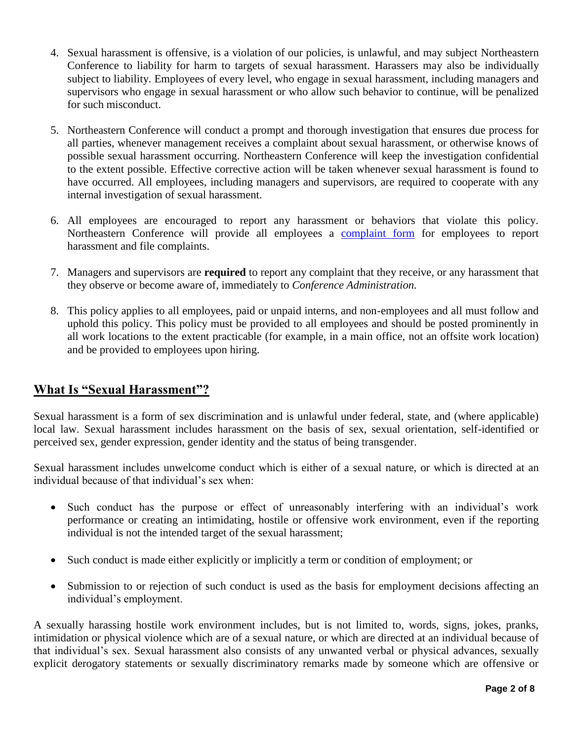- 4. Sexual harassment is offensive, is a violation of our policies, is unlawful, and may subject Northeastern Conference to liability for harm to targets of sexual harassment. Harassers may also be individually subject to liability. Employees of every level, who engage in sexual harassment, including managers and supervisors who engage in sexual harassment or who allow such behavior to continue, will be penalized for such misconduct.
- 5. Northeastern Conference will conduct a prompt and thorough investigation that ensures due process for all parties, whenever management receives a complaint about sexual harassment, or otherwise knows of possible sexual harassment occurring. Northeastern Conference will keep the investigation confidential to the extent possible. Effective corrective action will be taken whenever sexual harassment is found to have occurred. All employees, including managers and supervisors, are required to cooperate with any internal investigation of sexual harassment.
- 6. All employees are encouraged to report any harassment or behaviors that violate this policy. Northeastern Conference will provide all employees a [complaint](https://www.northeastern.org/services/human-resources) form for employees to report harassment and file complaints.
- 7. Managers and supervisors are **required** to report any complaint that they receive, or any harassment that they observe or become aware of, immediately to *Conference Administration.*
- 8. This policy applies to all employees, paid or unpaid interns, and non-employees and all must follow and uphold this policy. This policy must be provided to all employees and should be posted prominently in all work locations to the extent practicable (for example, in a main office, not an offsite work location) and be provided to employees upon hiring.

# **What Is "Sexual Harassment"?**

Sexual harassment is a form of sex discrimination and is unlawful under federal, state, and (where applicable) local law. Sexual harassment includes harassment on the basis of sex, sexual orientation, self-identified or perceived sex, gender expression, gender identity and the status of being transgender.

Sexual harassment includes unwelcome conduct which is either of a sexual nature, or which is directed at an individual because of that individual's sex when:

- Such conduct has the purpose or effect of unreasonably interfering with an individual's work performance or creating an intimidating, hostile or offensive work environment, even if the reporting individual is not the intended target of the sexual harassment;
- Such conduct is made either explicitly or implicitly a term or condition of employment; or
- Submission to or rejection of such conduct is used as the basis for employment decisions affecting an individual's employment.

A sexually harassing hostile work environment includes, but is not limited to, words, signs, jokes, pranks, intimidation or physical violence which are of a sexual nature, or which are directed at an individual because of that individual's sex. Sexual harassment also consists of any unwanted verbal or physical advances, sexually explicit derogatory statements or sexually discriminatory remarks made by someone which are offensive or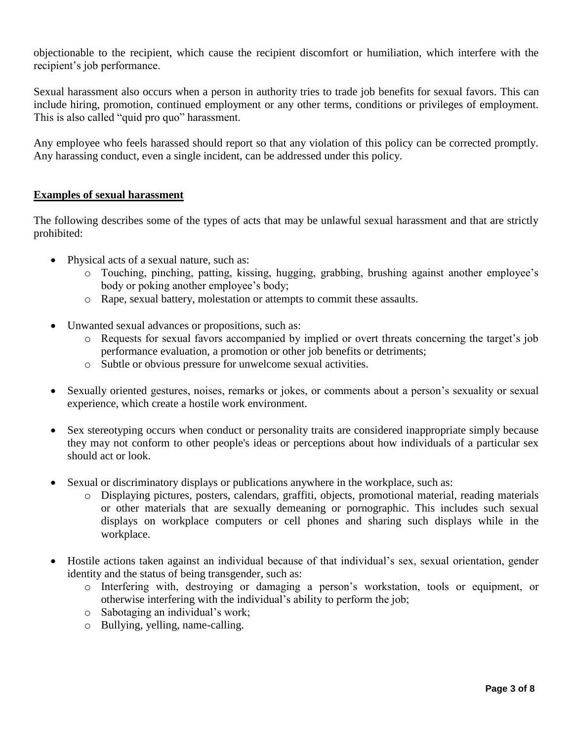objectionable to the recipient, which cause the recipient discomfort or humiliation, which interfere with the recipient's job performance.

Sexual harassment also occurs when a person in authority tries to trade job benefits for sexual favors. This can include hiring, promotion, continued employment or any other terms, conditions or privileges of employment. This is also called "quid pro quo" harassment.

Any employee who feels harassed should report so that any violation of this policy can be corrected promptly. Any harassing conduct, even a single incident, can be addressed under this policy.

#### **Examples of sexual harassment**

The following describes some of the types of acts that may be unlawful sexual harassment and that are strictly prohibited:

- Physical acts of a sexual nature, such as:
	- o Touching, pinching, patting, kissing, hugging, grabbing, brushing against another employee's body or poking another employee's body;
	- o Rape, sexual battery, molestation or attempts to commit these assaults.
- Unwanted sexual advances or propositions, such as:
	- o Requests for sexual favors accompanied by implied or overt threats concerning the target's job performance evaluation, a promotion or other job benefits or detriments;
	- o Subtle or obvious pressure for unwelcome sexual activities.
- Sexually oriented gestures, noises, remarks or jokes, or comments about a person's sexuality or sexual experience, which create a hostile work environment.
- Sex stereotyping occurs when conduct or personality traits are considered inappropriate simply because they may not conform to other people's ideas or perceptions about how individuals of a particular sex should act or look.
- Sexual or discriminatory displays or publications anywhere in the workplace, such as:
	- o Displaying pictures, posters, calendars, graffiti, objects, promotional material, reading materials or other materials that are sexually demeaning or pornographic. This includes such sexual displays on workplace computers or cell phones and sharing such displays while in the workplace.
- Hostile actions taken against an individual because of that individual's sex, sexual orientation, gender identity and the status of being transgender, such as:
	- o Interfering with, destroying or damaging a person's workstation, tools or equipment, or otherwise interfering with the individual's ability to perform the job;
	- o Sabotaging an individual's work;
	- o Bullying, yelling, name-calling.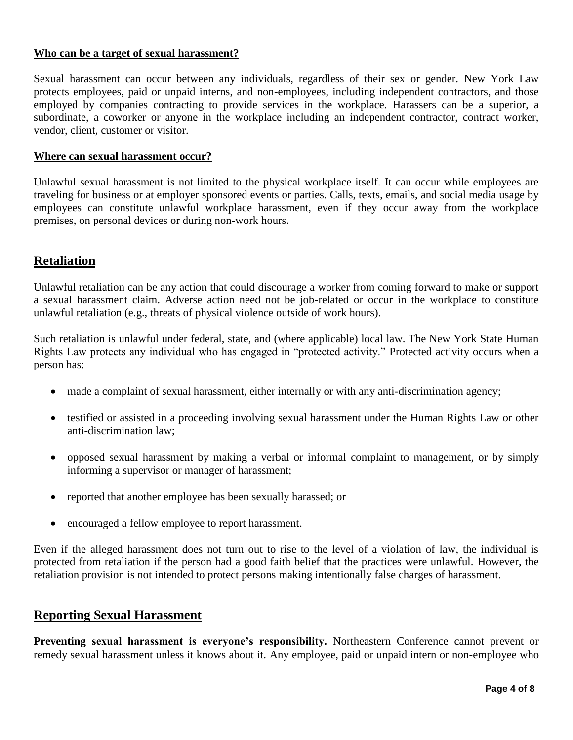#### **Who can be a target of sexual harassment?**

Sexual harassment can occur between any individuals, regardless of their sex or gender. New York Law protects employees, paid or unpaid interns, and non-employees, including independent contractors, and those employed by companies contracting to provide services in the workplace. Harassers can be a superior, a subordinate, a coworker or anyone in the workplace including an independent contractor, contract worker, vendor, client, customer or visitor.

#### **Where can sexual harassment occur?**

Unlawful sexual harassment is not limited to the physical workplace itself. It can occur while employees are traveling for business or at employer sponsored events or parties. Calls, texts, emails, and social media usage by employees can constitute unlawful workplace harassment, even if they occur away from the workplace premises, on personal devices or during non-work hours.

## **Retaliation**

Unlawful retaliation can be any action that could discourage a worker from coming forward to make or support a sexual harassment claim. Adverse action need not be job-related or occur in the workplace to constitute unlawful retaliation (e.g., threats of physical violence outside of work hours).

Such retaliation is unlawful under federal, state, and (where applicable) local law. The New York State Human Rights Law protects any individual who has engaged in "protected activity." Protected activity occurs when a person has:

- made a complaint of sexual harassment, either internally or with any anti-discrimination agency;
- testified or assisted in a proceeding involving sexual harassment under the Human Rights Law or other anti-discrimination law;
- opposed sexual harassment by making a verbal or informal complaint to management, or by simply informing a supervisor or manager of harassment;
- reported that another employee has been sexually harassed; or
- encouraged a fellow employee to report harassment.

Even if the alleged harassment does not turn out to rise to the level of a violation of law, the individual is protected from retaliation if the person had a good faith belief that the practices were unlawful. However, the retaliation provision is not intended to protect persons making intentionally false charges of harassment.

#### **Reporting Sexual Harassment**

**Preventing sexual harassment is everyone's responsibility.** Northeastern Conference cannot prevent or remedy sexual harassment unless it knows about it. Any employee, paid or unpaid intern or non-employee who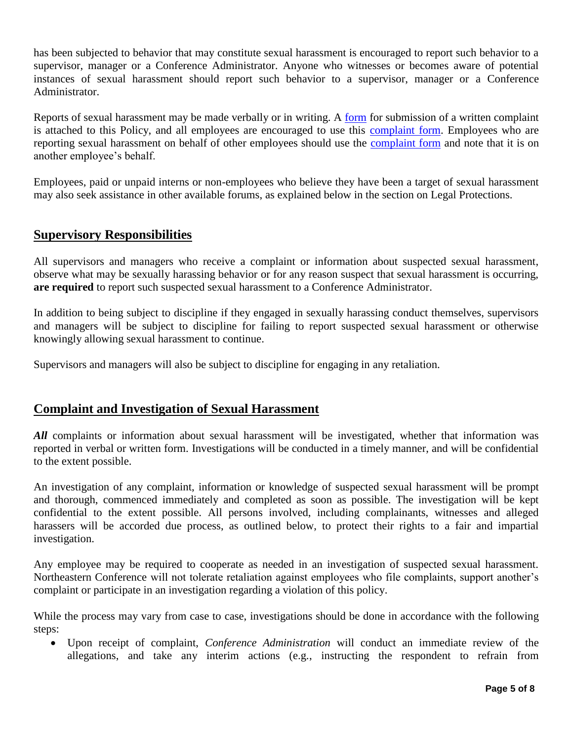has been subjected to behavior that may constitute sexual harassment is encouraged to report such behavior to a supervisor, manager or a Conference Administrator. Anyone who witnesses or becomes aware of potential instances of sexual harassment should report such behavior to a supervisor, manager or a Conference Administrator.

Reports of sexual harassment may be made verbally or in writing. A [form](https://www.northeastern.org/services/human-resources) for submission of a written complaint is attached to this Policy, and all employees are encouraged to use this [complaint form.](https://www.northeastern.org/services/human-resources) Employees who are reporting sexual harassment on behalf of other employees should use the [complaint form](https://www.northeastern.org/services/human-resources) and note that it is on another employee's behalf.

Employees, paid or unpaid interns or non-employees who believe they have been a target of sexual harassment may also seek assistance in other available forums, as explained below in the section on Legal Protections.

## **Supervisory Responsibilities**

All supervisors and managers who receive a complaint or information about suspected sexual harassment, observe what may be sexually harassing behavior or for any reason suspect that sexual harassment is occurring, **are required** to report such suspected sexual harassment to a Conference Administrator.

In addition to being subject to discipline if they engaged in sexually harassing conduct themselves, supervisors and managers will be subject to discipline for failing to report suspected sexual harassment or otherwise knowingly allowing sexual harassment to continue.

Supervisors and managers will also be subject to discipline for engaging in any retaliation.

## **Complaint and Investigation of Sexual Harassment**

*All* complaints or information about sexual harassment will be investigated, whether that information was reported in verbal or written form. Investigations will be conducted in a timely manner, and will be confidential to the extent possible.

An investigation of any complaint, information or knowledge of suspected sexual harassment will be prompt and thorough, commenced immediately and completed as soon as possible. The investigation will be kept confidential to the extent possible. All persons involved, including complainants, witnesses and alleged harassers will be accorded due process, as outlined below, to protect their rights to a fair and impartial investigation.

Any employee may be required to cooperate as needed in an investigation of suspected sexual harassment. Northeastern Conference will not tolerate retaliation against employees who file complaints, support another's complaint or participate in an investigation regarding a violation of this policy.

While the process may vary from case to case, investigations should be done in accordance with the following steps:

 Upon receipt of complaint, *Conference Administration* will conduct an immediate review of the allegations, and take any interim actions (e.g., instructing the respondent to refrain from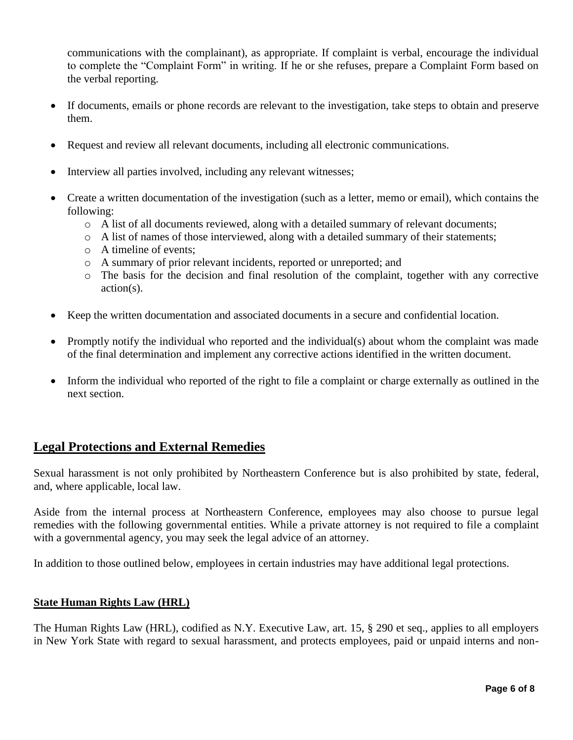communications with the complainant), as appropriate. If complaint is verbal, encourage the individual to complete the "Complaint Form" in writing. If he or she refuses, prepare a Complaint Form based on the verbal reporting.

- If documents, emails or phone records are relevant to the investigation, take steps to obtain and preserve them.
- Request and review all relevant documents, including all electronic communications.
- Interview all parties involved, including any relevant witnesses;
- Create a written documentation of the investigation (such as a letter, memo or email), which contains the following:
	- o A list of all documents reviewed, along with a detailed summary of relevant documents;
	- o A list of names of those interviewed, along with a detailed summary of their statements;
	- o A timeline of events;
	- o A summary of prior relevant incidents, reported or unreported; and
	- o The basis for the decision and final resolution of the complaint, together with any corrective action(s).
- Keep the written documentation and associated documents in a secure and confidential location.
- Promptly notify the individual who reported and the individual(s) about whom the complaint was made of the final determination and implement any corrective actions identified in the written document.
- Inform the individual who reported of the right to file a complaint or charge externally as outlined in the next section.

## **Legal Protections and External Remedies**

Sexual harassment is not only prohibited by Northeastern Conference but is also prohibited by state, federal, and, where applicable, local law.

Aside from the internal process at Northeastern Conference, employees may also choose to pursue legal remedies with the following governmental entities. While a private attorney is not required to file a complaint with a governmental agency, you may seek the legal advice of an attorney.

In addition to those outlined below, employees in certain industries may have additional legal protections.

#### **State Human Rights Law (HRL)**

The Human Rights Law (HRL), codified as N.Y. Executive Law, art. 15, § 290 et seq., applies to all employers in New York State with regard to sexual harassment, and protects employees, paid or unpaid interns and non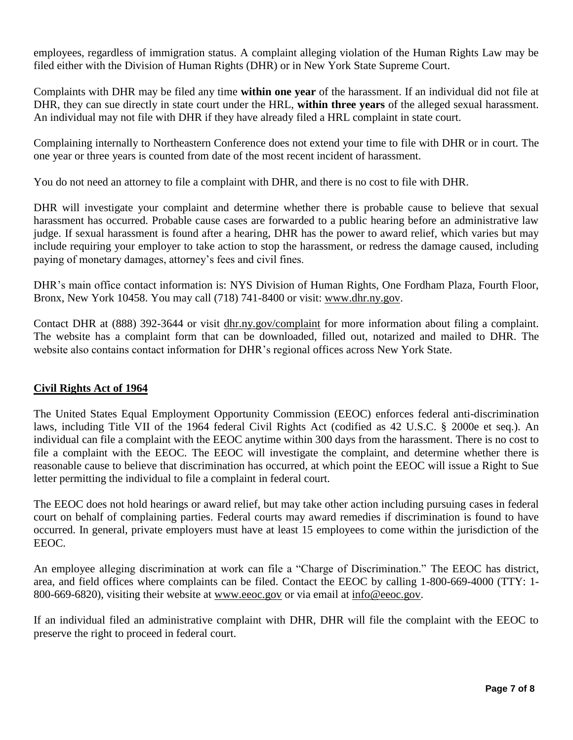employees, regardless of immigration status. A complaint alleging violation of the Human Rights Law may be filed either with the Division of Human Rights (DHR) or in New York State Supreme Court.

Complaints with DHR may be filed any time **within one year** of the harassment. If an individual did not file at DHR, they can sue directly in state court under the HRL, **within three years** of the alleged sexual harassment. An individual may not file with DHR if they have already filed a HRL complaint in state court.

Complaining internally to Northeastern Conference does not extend your time to file with DHR or in court. The one year or three years is counted from date of the most recent incident of harassment.

You do not need an attorney to file a complaint with DHR, and there is no cost to file with DHR.

DHR will investigate your complaint and determine whether there is probable cause to believe that sexual harassment has occurred. Probable cause cases are forwarded to a public hearing before an administrative law judge. If sexual harassment is found after a hearing, DHR has the power to award relief, which varies but may include requiring your employer to take action to stop the harassment, or redress the damage caused, including paying of monetary damages, attorney's fees and civil fines.

DHR's main office contact information is: NYS Division of Human Rights, One Fordham Plaza, Fourth Floor, Bronx, New York 10458. You may call (718) 741-8400 or visit: [www.dhr.ny.gov.](http://www.dhr.ny.gov/)

Contact DHR at (888) 392-3644 or visit [dhr.ny.gov/complaint](https://dhr.ny.gov/complaint) for more information about filing a complaint. The website has a complaint form that can be downloaded, filled out, notarized and mailed to DHR. The website also contains contact information for DHR's regional offices across New York State.

## **Civil Rights Act of 1964**

The United States Equal Employment Opportunity Commission (EEOC) enforces federal anti-discrimination laws, including Title VII of the 1964 federal Civil Rights Act (codified as 42 U.S.C. § 2000e et seq.). An individual can file a complaint with the EEOC anytime within 300 days from the harassment. There is no cost to file a complaint with the EEOC. The EEOC will investigate the complaint, and determine whether there is reasonable cause to believe that discrimination has occurred, at which point the EEOC will issue a Right to Sue letter permitting the individual to file a complaint in federal court.

The EEOC does not hold hearings or award relief, but may take other action including pursuing cases in federal court on behalf of complaining parties. Federal courts may award remedies if discrimination is found to have occurred. In general, private employers must have at least 15 employees to come within the jurisdiction of the EEOC.

An employee alleging discrimination at work can file a "Charge of Discrimination." The EEOC has district, area, and field offices where complaints can be filed. Contact the EEOC by calling 1-800-669-4000 (TTY: 1- 800-669-6820), visiting their website at [www.eeoc.gov](http://www.eeoc.gov/) or via email at [info@eeoc.gov.](mailto:info@eeoc.gov)

If an individual filed an administrative complaint with DHR, DHR will file the complaint with the EEOC to preserve the right to proceed in federal court.